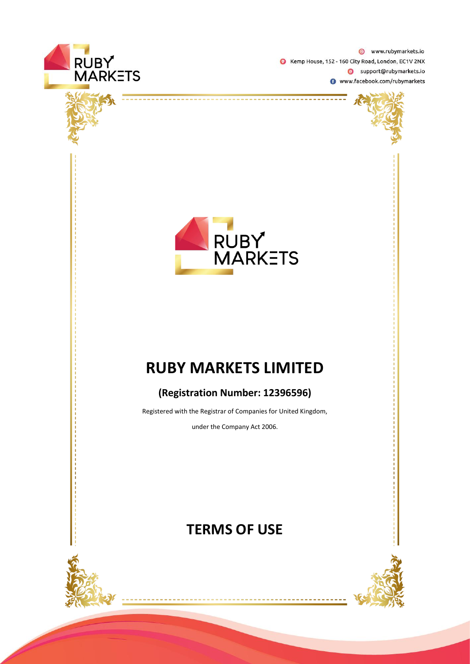





# **RUBY MARKETS LIMITED**

# **(Registration Number: 12396596)**

Registered with the Registrar of Companies for United Kingdom,

under the Company Act 2006.

# **TERMS OF USE**

-------------



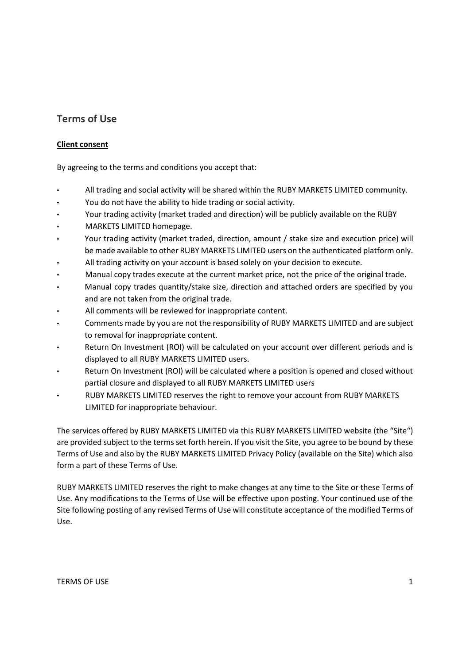# **Terms of Use**

# **Client consent**

By agreeing to the terms and conditions you accept that:

- All trading and social activity will be shared within the RUBY MARKETS LIMITED community.
- You do not have the ability to hide trading or social activity.
- Your trading activity (market traded and direction) will be publicly available on the RUBY
- MARKETS LIMITED homepage.
- Your trading activity (market traded, direction, amount / stake size and execution price) will be made available to other RUBY MARKETS LIMITED users on the authenticated platform only.
- All trading activity on your account is based solely on your decision to execute.
- Manual copy trades execute at the current market price, not the price of the original trade.
- Manual copy trades quantity/stake size, direction and attached orders are specified by you and are not taken from the original trade.
- All comments will be reviewed for inappropriate content.
- Comments made by you are not the responsibility of RUBY MARKETS LIMITED and are subject to removal for inappropriate content.
- Return On Investment (ROI) will be calculated on your account over different periods and is displayed to all RUBY MARKETS LIMITED users.
- Return On Investment (ROI) will be calculated where a position is opened and closed without partial closure and displayed to all RUBY MARKETS LIMITED users
- RUBY MARKETS LIMITED reserves the right to remove your account from RUBY MARKETS LIMITED for inappropriate behaviour.

The services offered by RUBY MARKETS LIMITED via this RUBY MARKETS LIMITED website (the "Site") are provided subject to the terms set forth herein. If you visit the Site, you agree to be bound by these Terms of Use and also by the RUBY MARKETS LIMITED Privacy Policy (available on the Site) which also form a part of these Terms of Use.

RUBY MARKETS LIMITED reserves the right to make changes at any time to the Site or these Terms of Use. Any modifications to the Terms of Use will be effective upon posting. Your continued use of the Site following posting of any revised Terms of Use will constitute acceptance of the modified Terms of Use.

TERMS OF USE 2008 2009 12:00 12:00 12:00 12:00 12:00 12:00 12:00 12:00 12:00 12:00 12:00 12:00 12:00 12:00 12:00 12:00 12:00 12:00 12:00 12:00 12:00 12:00 12:00 12:00 12:00 12:00 12:00 12:00 12:00 12:00 12:00 12:00 12:00 1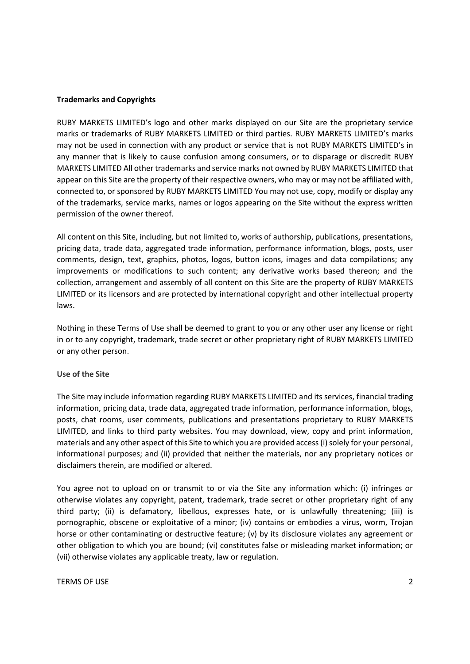# **Trademarks and Copyrights**

RUBY MARKETS LIMITED's logo and other marks displayed on our Site are the proprietary service marks or trademarks of RUBY MARKETS LIMITED or third parties. RUBY MARKETS LIMITED's marks may not be used in connection with any product or service that is not RUBY MARKETS LIMITED's in any manner that is likely to cause confusion among consumers, or to disparage or discredit RUBY MARKETS LIMITED All other trademarks and service marks not owned by RUBY MARKETS LIMITED that appear on this Site are the property of their respective owners, who may or may not be affiliated with, connected to, or sponsored by RUBY MARKETS LIMITED You may not use, copy, modify or display any of the trademarks, service marks, names or logos appearing on the Site without the express written permission of the owner thereof.

All content on this Site, including, but not limited to, works of authorship, publications, presentations, pricing data, trade data, aggregated trade information, performance information, blogs, posts, user comments, design, text, graphics, photos, logos, button icons, images and data compilations; any improvements or modifications to such content; any derivative works based thereon; and the collection, arrangement and assembly of all content on this Site are the property of RUBY MARKETS LIMITED or its licensors and are protected by international copyright and other intellectual property laws.

Nothing in these Terms of Use shall be deemed to grant to you or any other user any license or right in or to any copyright, trademark, trade secret or other proprietary right of RUBY MARKETS LIMITED or any other person.

#### **Use of the Site**

The Site may include information regarding RUBY MARKETS LIMITED and its services, financial trading information, pricing data, trade data, aggregated trade information, performance information, blogs, posts, chat rooms, user comments, publications and presentations proprietary to RUBY MARKETS LIMITED, and links to third party websites. You may download, view, copy and print information, materials and any other aspect of this Site to which you are provided access (i) solely for your personal, informational purposes; and (ii) provided that neither the materials, nor any proprietary notices or disclaimers therein, are modified or altered.

You agree not to upload on or transmit to or via the Site any information which: (i) infringes or otherwise violates any copyright, patent, trademark, trade secret or other proprietary right of any third party; (ii) is defamatory, libellous, expresses hate, or is unlawfully threatening; (iii) is pornographic, obscene or exploitative of a minor; (iv) contains or embodies a virus, worm, Trojan horse or other contaminating or destructive feature; (v) by its disclosure violates any agreement or other obligation to which you are bound; (vi) constitutes false or misleading market information; or (vii) otherwise violates any applicable treaty, law or regulation.

#### TERMS OF USE 2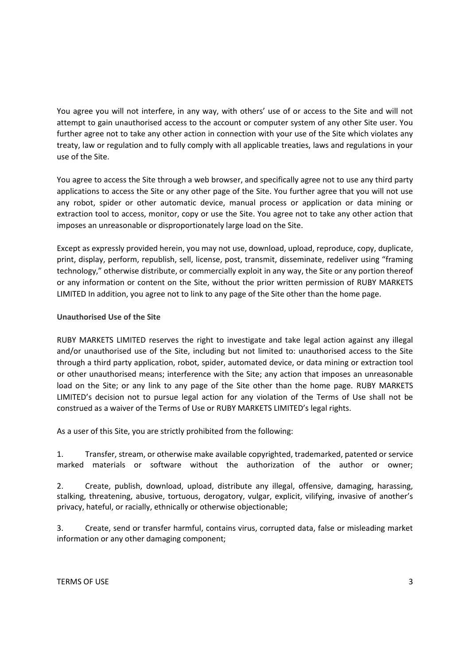You agree you will not interfere, in any way, with others' use of or access to the Site and will not attempt to gain unauthorised access to the account or computer system of any other Site user. You further agree not to take any other action in connection with your use of the Site which violates any treaty, law or regulation and to fully comply with all applicable treaties, laws and regulations in your use of the Site.

You agree to access the Site through a web browser, and specifically agree not to use any third party applications to access the Site or any other page of the Site. You further agree that you will not use any robot, spider or other automatic device, manual process or application or data mining or extraction tool to access, monitor, copy or use the Site. You agree not to take any other action that imposes an unreasonable or disproportionately large load on the Site.

Except as expressly provided herein, you may not use, download, upload, reproduce, copy, duplicate, print, display, perform, republish, sell, license, post, transmit, disseminate, redeliver using "framing technology," otherwise distribute, or commercially exploit in any way, the Site or any portion thereof or any information or content on the Site, without the prior written permission of RUBY MARKETS LIMITED In addition, you agree not to link to any page of the Site other than the home page.

# **Unauthorised Use of the Site**

RUBY MARKETS LIMITED reserves the right to investigate and take legal action against any illegal and/or unauthorised use of the Site, including but not limited to: unauthorised access to the Site through a third party application, robot, spider, automated device, or data mining or extraction tool or other unauthorised means; interference with the Site; any action that imposes an unreasonable load on the Site; or any link to any page of the Site other than the home page. RUBY MARKETS LIMITED's decision not to pursue legal action for any violation of the Terms of Use shall not be construed as a waiver of the Terms of Use or RUBY MARKETS LIMITED's legal rights.

As a user of this Site, you are strictly prohibited from the following:

1. Transfer, stream, or otherwise make available copyrighted, trademarked, patented or service marked materials or software without the authorization of the author or owner;

2. Create, publish, download, upload, distribute any illegal, offensive, damaging, harassing, stalking, threatening, abusive, tortuous, derogatory, vulgar, explicit, vilifying, invasive of another's privacy, hateful, or racially, ethnically or otherwise objectionable;

3. Create, send or transfer harmful, contains virus, corrupted data, false or misleading market information or any other damaging component;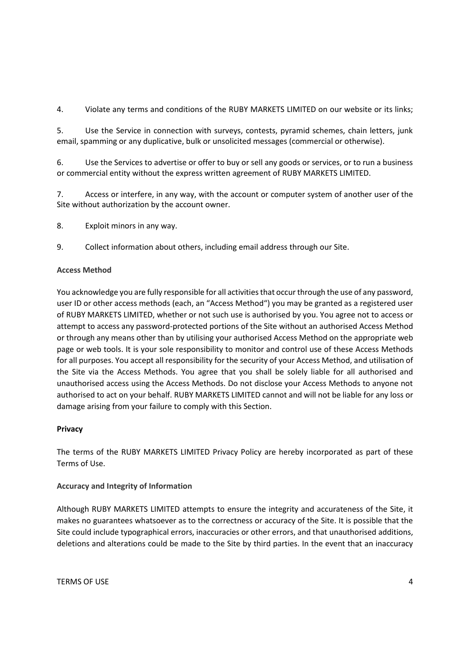4. Violate any terms and conditions of the RUBY MARKETS LIMITED on our website or its links;

5. Use the Service in connection with surveys, contests, pyramid schemes, chain letters, junk email, spamming or any duplicative, bulk or unsolicited messages (commercial or otherwise).

6. Use the Services to advertise or offer to buy or sell any goods or services, or to run a business or commercial entity without the express written agreement of RUBY MARKETS LIMITED.

7. Access or interfere, in any way, with the account or computer system of another user of the Site without authorization by the account owner.

8. Exploit minors in any way.

9. Collect information about others, including email address through our Site.

# **Access Method**

You acknowledge you are fully responsible for all activities that occur through the use of any password, user ID or other access methods (each, an "Access Method") you may be granted as a registered user of RUBY MARKETS LIMITED, whether or not such use is authorised by you. You agree not to access or attempt to access any password-protected portions of the Site without an authorised Access Method or through any means other than by utilising your authorised Access Method on the appropriate web page or web tools. It is your sole responsibility to monitor and control use of these Access Methods for all purposes. You accept all responsibility for the security of your Access Method, and utilisation of the Site via the Access Methods. You agree that you shall be solely liable for all authorised and unauthorised access using the Access Methods. Do not disclose your Access Methods to anyone not authorised to act on your behalf. RUBY MARKETS LIMITED cannot and will not be liable for any loss or damage arising from your failure to comply with this Section.

# **Privacy**

The terms of the RUBY MARKETS LIMITED Privacy Policy are hereby incorporated as part of these Terms of Use.

# **Accuracy and Integrity of Information**

Although RUBY MARKETS LIMITED attempts to ensure the integrity and accurateness of the Site, it makes no guarantees whatsoever as to the correctness or accuracy of the Site. It is possible that the Site could include typographical errors, inaccuracies or other errors, and that unauthorised additions, deletions and alterations could be made to the Site by third parties. In the event that an inaccuracy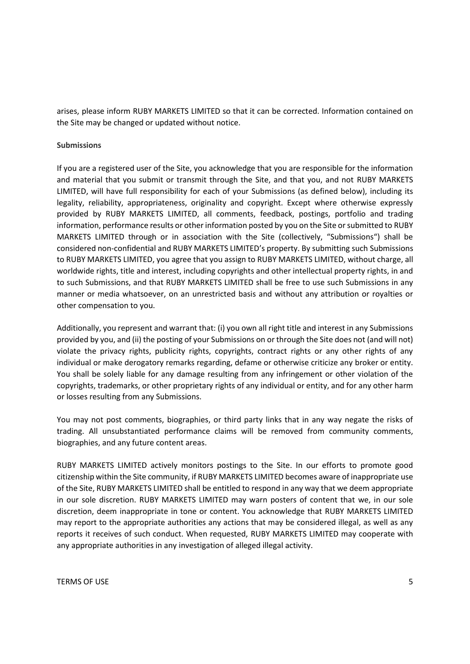arises, please inform RUBY MARKETS LIMITED so that it can be corrected. Information contained on the Site may be changed or updated without notice.

#### **Submissions**

If you are a registered user of the Site, you acknowledge that you are responsible for the information and material that you submit or transmit through the Site, and that you, and not RUBY MARKETS LIMITED, will have full responsibility for each of your Submissions (as defined below), including its legality, reliability, appropriateness, originality and copyright. Except where otherwise expressly provided by RUBY MARKETS LIMITED, all comments, feedback, postings, portfolio and trading information, performance results or other information posted by you on the Site or submitted to RUBY MARKETS LIMITED through or in association with the Site (collectively, "Submissions") shall be considered non-confidential and RUBY MARKETS LIMITED's property. By submitting such Submissions to RUBY MARKETS LIMITED, you agree that you assign to RUBY MARKETS LIMITED, without charge, all worldwide rights, title and interest, including copyrights and other intellectual property rights, in and to such Submissions, and that RUBY MARKETS LIMITED shall be free to use such Submissions in any manner or media whatsoever, on an unrestricted basis and without any attribution or royalties or other compensation to you.

Additionally, you represent and warrant that: (i) you own all right title and interest in any Submissions provided by you, and (ii) the posting of your Submissions on or through the Site does not (and will not) violate the privacy rights, publicity rights, copyrights, contract rights or any other rights of any individual or make derogatory remarks regarding, defame or otherwise criticize any broker or entity. You shall be solely liable for any damage resulting from any infringement or other violation of the copyrights, trademarks, or other proprietary rights of any individual or entity, and for any other harm or losses resulting from any Submissions.

You may not post comments, biographies, or third party links that in any way negate the risks of trading. All unsubstantiated performance claims will be removed from community comments, biographies, and any future content areas.

RUBY MARKETS LIMITED actively monitors postings to the Site. In our efforts to promote good citizenship within the Site community, if RUBY MARKETS LIMITED becomes aware of inappropriate use of the Site, RUBY MARKETS LIMITED shall be entitled to respond in any way that we deem appropriate in our sole discretion. RUBY MARKETS LIMITED may warn posters of content that we, in our sole discretion, deem inappropriate in tone or content. You acknowledge that RUBY MARKETS LIMITED may report to the appropriate authorities any actions that may be considered illegal, as well as any reports it receives of such conduct. When requested, RUBY MARKETS LIMITED may cooperate with any appropriate authorities in any investigation of alleged illegal activity.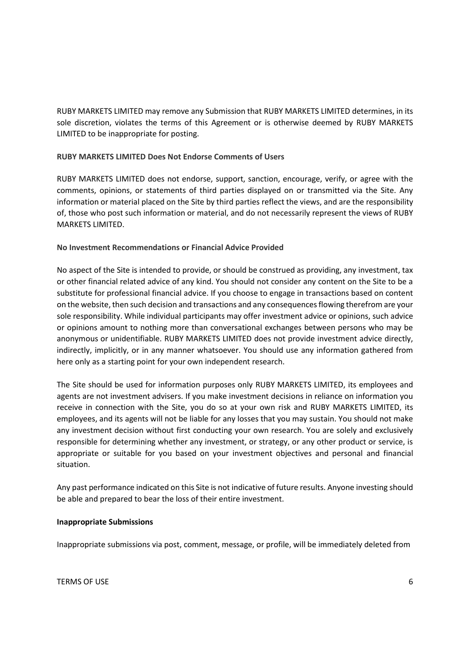RUBY MARKETS LIMITED may remove any Submission that RUBY MARKETS LIMITED determines, in its sole discretion, violates the terms of this Agreement or is otherwise deemed by RUBY MARKETS LIMITED to be inappropriate for posting.

# **RUBY MARKETS LIMITED Does Not Endorse Comments of Users**

RUBY MARKETS LIMITED does not endorse, support, sanction, encourage, verify, or agree with the comments, opinions, or statements of third parties displayed on or transmitted via the Site. Any information or material placed on the Site by third parties reflect the views, and are the responsibility of, those who post such information or material, and do not necessarily represent the views of RUBY MARKETS LIMITED.

# **No Investment Recommendations or Financial Advice Provided**

No aspect of the Site is intended to provide, or should be construed as providing, any investment, tax or other financial related advice of any kind. You should not consider any content on the Site to be a substitute for professional financial advice. If you choose to engage in transactions based on content on the website, then such decision and transactions and any consequences flowing therefrom are your sole responsibility. While individual participants may offer investment advice or opinions, such advice or opinions amount to nothing more than conversational exchanges between persons who may be anonymous or unidentifiable. RUBY MARKETS LIMITED does not provide investment advice directly, indirectly, implicitly, or in any manner whatsoever. You should use any information gathered from here only as a starting point for your own independent research.

The Site should be used for information purposes only RUBY MARKETS LIMITED, its employees and agents are not investment advisers. If you make investment decisions in reliance on information you receive in connection with the Site, you do so at your own risk and RUBY MARKETS LIMITED, its employees, and its agents will not be liable for any losses that you may sustain. You should not make any investment decision without first conducting your own research. You are solely and exclusively responsible for determining whether any investment, or strategy, or any other product or service, is appropriate or suitable for you based on your investment objectives and personal and financial situation.

Any past performance indicated on this Site is not indicative of future results. Anyone investing should be able and prepared to bear the loss of their entire investment.

# **Inappropriate Submissions**

Inappropriate submissions via post, comment, message, or profile, will be immediately deleted from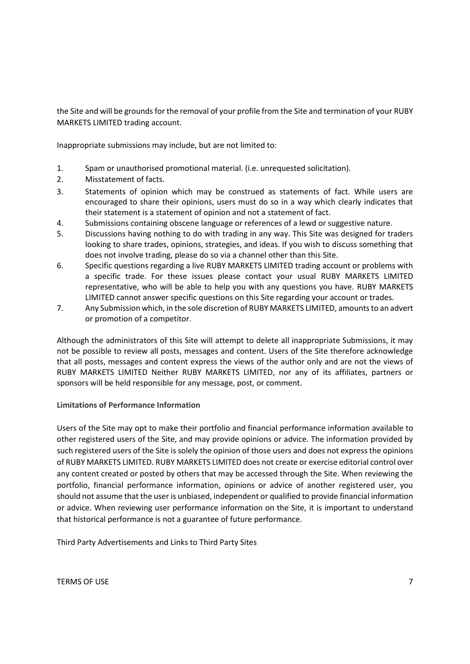the Site and will be grounds for the removal of your profile from the Site and termination of your RUBY MARKETS LIMITED trading account.

Inappropriate submissions may include, but are not limited to:

- 1. Spam or unauthorised promotional material. (i.e. unrequested solicitation).
- 2. Misstatement of facts.
- 3. Statements of opinion which may be construed as statements of fact. While users are encouraged to share their opinions, users must do so in a way which clearly indicates that their statement is a statement of opinion and not a statement of fact.
- 4. Submissions containing obscene language or references of a lewd or suggestive nature.
- 5. Discussions having nothing to do with trading in any way. This Site was designed for traders looking to share trades, opinions, strategies, and ideas. If you wish to discuss something that does not involve trading, please do so via a channel other than this Site.
- 6. Specific questions regarding a live RUBY MARKETS LIMITED trading account or problems with a specific trade. For these issues please contact your usual RUBY MARKETS LIMITED representative, who will be able to help you with any questions you have. RUBY MARKETS LIMITED cannot answer specific questions on this Site regarding your account or trades.
- 7. Any Submission which, in the sole discretion of RUBY MARKETS LIMITED, amounts to an advert or promotion of a competitor.

Although the administrators of this Site will attempt to delete all inappropriate Submissions, it may not be possible to review all posts, messages and content. Users of the Site therefore acknowledge that all posts, messages and content express the views of the author only and are not the views of RUBY MARKETS LIMITED Neither RUBY MARKETS LIMITED, nor any of its affiliates, partners or sponsors will be held responsible for any message, post, or comment.

# **Limitations of Performance Information**

Users of the Site may opt to make their portfolio and financial performance information available to other registered users of the Site, and may provide opinions or advice. The information provided by such registered users of the Site is solely the opinion of those users and does not express the opinions of RUBY MARKETS LIMITED. RUBY MARKETS LIMITED does not create or exercise editorial control over any content created or posted by others that may be accessed through the Site. When reviewing the portfolio, financial performance information, opinions or advice of another registered user, you should not assume that the user is unbiased, independent or qualified to provide financial information or advice. When reviewing user performance information on the Site, it is important to understand that historical performance is not a guarantee of future performance.

Third Party Advertisements and Links to Third Party Sites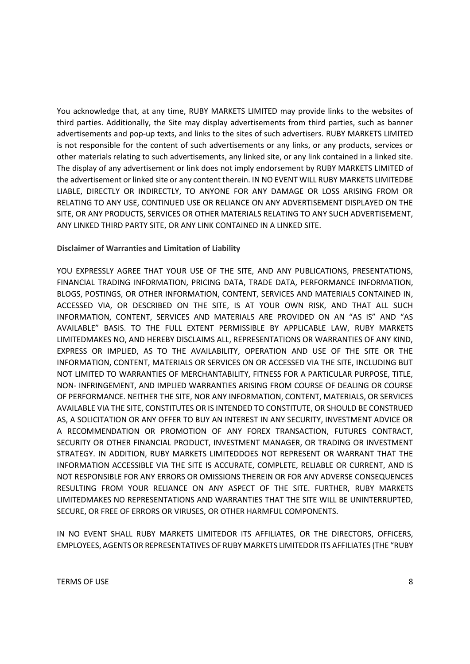You acknowledge that, at any time, RUBY MARKETS LIMITED may provide links to the websites of third parties. Additionally, the Site may display advertisements from third parties, such as banner advertisements and pop-up texts, and links to the sites of such advertisers. RUBY MARKETS LIMITED is not responsible for the content of such advertisements or any links, or any products, services or other materials relating to such advertisements, any linked site, or any link contained in a linked site. The display of any advertisement or link does not imply endorsement by RUBY MARKETS LIMITED of the advertisement or linked site or any content therein. IN NO EVENT WILL RUBY MARKETS LIMITEDBE LIABLE, DIRECTLY OR INDIRECTLY, TO ANYONE FOR ANY DAMAGE OR LOSS ARISING FROM OR RELATING TO ANY USE, CONTINUED USE OR RELIANCE ON ANY ADVERTISEMENT DISPLAYED ON THE SITE, OR ANY PRODUCTS, SERVICES OR OTHER MATERIALS RELATING TO ANY SUCH ADVERTISEMENT, ANY LINKED THIRD PARTY SITE, OR ANY LINK CONTAINED IN A LINKED SITE.

## **Disclaimer of Warranties and Limitation of Liability**

YOU EXPRESSLY AGREE THAT YOUR USE OF THE SITE, AND ANY PUBLICATIONS, PRESENTATIONS, FINANCIAL TRADING INFORMATION, PRICING DATA, TRADE DATA, PERFORMANCE INFORMATION, BLOGS, POSTINGS, OR OTHER INFORMATION, CONTENT, SERVICES AND MATERIALS CONTAINED IN, ACCESSED VIA, OR DESCRIBED ON THE SITE, IS AT YOUR OWN RISK, AND THAT ALL SUCH INFORMATION, CONTENT, SERVICES AND MATERIALS ARE PROVIDED ON AN "AS IS" AND "AS AVAILABLE" BASIS. TO THE FULL EXTENT PERMISSIBLE BY APPLICABLE LAW, RUBY MARKETS LIMITEDMAKES NO, AND HEREBY DISCLAIMS ALL, REPRESENTATIONS OR WARRANTIES OF ANY KIND, EXPRESS OR IMPLIED, AS TO THE AVAILABILITY, OPERATION AND USE OF THE SITE OR THE INFORMATION, CONTENT, MATERIALS OR SERVICES ON OR ACCESSED VIA THE SITE, INCLUDING BUT NOT LIMITED TO WARRANTIES OF MERCHANTABILITY, FITNESS FOR A PARTICULAR PURPOSE, TITLE, NON- INFRINGEMENT, AND IMPLIED WARRANTIES ARISING FROM COURSE OF DEALING OR COURSE OF PERFORMANCE. NEITHER THE SITE, NOR ANY INFORMATION, CONTENT, MATERIALS, OR SERVICES AVAILABLE VIA THE SITE, CONSTITUTES OR IS INTENDED TO CONSTITUTE, OR SHOULD BE CONSTRUED AS, A SOLICITATION OR ANY OFFER TO BUY AN INTEREST IN ANY SECURITY, INVESTMENT ADVICE OR A RECOMMENDATION OR PROMOTION OF ANY FOREX TRANSACTION, FUTURES CONTRACT, SECURITY OR OTHER FINANCIAL PRODUCT, INVESTMENT MANAGER, OR TRADING OR INVESTMENT STRATEGY. IN ADDITION, RUBY MARKETS LIMITEDDOES NOT REPRESENT OR WARRANT THAT THE INFORMATION ACCESSIBLE VIA THE SITE IS ACCURATE, COMPLETE, RELIABLE OR CURRENT, AND IS NOT RESPONSIBLE FOR ANY ERRORS OR OMISSIONS THEREIN OR FOR ANY ADVERSE CONSEQUENCES RESULTING FROM YOUR RELIANCE ON ANY ASPECT OF THE SITE. FURTHER, RUBY MARKETS LIMITEDMAKES NO REPRESENTATIONS AND WARRANTIES THAT THE SITE WILL BE UNINTERRUPTED, SECURE, OR FREE OF ERRORS OR VIRUSES, OR OTHER HARMFUL COMPONENTS.

IN NO EVENT SHALL RUBY MARKETS LIMITEDOR ITS AFFILIATES, OR THE DIRECTORS, OFFICERS, EMPLOYEES, AGENTS OR REPRESENTATIVES OF RUBY MARKETS LIMITEDOR ITS AFFILIATES (THE "RUBY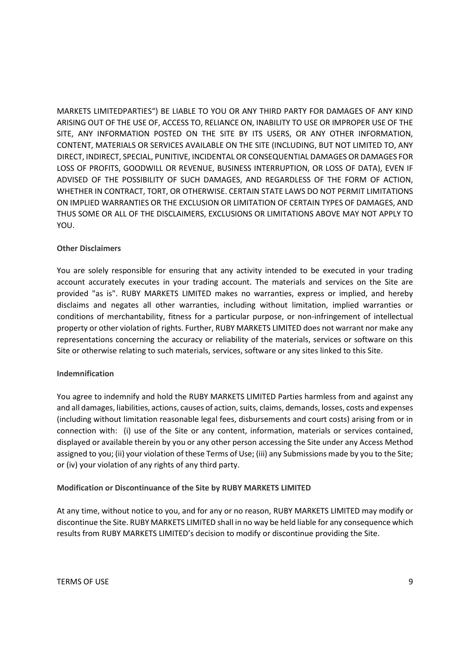MARKETS LIMITEDPARTIES") BE LIABLE TO YOU OR ANY THIRD PARTY FOR DAMAGES OF ANY KIND ARISING OUT OF THE USE OF, ACCESS TO, RELIANCE ON, INABILITY TO USE OR IMPROPER USE OF THE SITE, ANY INFORMATION POSTED ON THE SITE BY ITS USERS, OR ANY OTHER INFORMATION, CONTENT, MATERIALS OR SERVICES AVAILABLE ON THE SITE (INCLUDING, BUT NOT LIMITED TO, ANY DIRECT, INDIRECT, SPECIAL, PUNITIVE, INCIDENTAL OR CONSEQUENTIAL DAMAGES OR DAMAGES FOR LOSS OF PROFITS, GOODWILL OR REVENUE, BUSINESS INTERRUPTION, OR LOSS OF DATA), EVEN IF ADVISED OF THE POSSIBILITY OF SUCH DAMAGES, AND REGARDLESS OF THE FORM OF ACTION, WHETHER IN CONTRACT, TORT, OR OTHERWISE. CERTAIN STATE LAWS DO NOT PERMIT LIMITATIONS ON IMPLIED WARRANTIES OR THE EXCLUSION OR LIMITATION OF CERTAIN TYPES OF DAMAGES, AND THUS SOME OR ALL OF THE DISCLAIMERS, EXCLUSIONS OR LIMITATIONS ABOVE MAY NOT APPLY TO YOU.

# **Other Disclaimers**

You are solely responsible for ensuring that any activity intended to be executed in your trading account accurately executes in your trading account. The materials and services on the Site are provided "as is". RUBY MARKETS LIMITED makes no warranties, express or implied, and hereby disclaims and negates all other warranties, including without limitation, implied warranties or conditions of merchantability, fitness for a particular purpose, or non-infringement of intellectual property or other violation of rights. Further, RUBY MARKETS LIMITED does not warrant nor make any representations concerning the accuracy or reliability of the materials, services or software on this Site or otherwise relating to such materials, services, software or any sites linked to this Site.

# **Indemnification**

You agree to indemnify and hold the RUBY MARKETS LIMITED Parties harmless from and against any and all damages, liabilities, actions, causes of action, suits, claims, demands, losses, costs and expenses (including without limitation reasonable legal fees, disbursements and court costs) arising from or in connection with: (i) use of the Site or any content, information, materials or services contained, displayed or available therein by you or any other person accessing the Site under any Access Method assigned to you; (ii) your violation of these Terms of Use; (iii) any Submissions made by you to the Site; or (iv) your violation of any rights of any third party.

# **Modification or Discontinuance of the Site by RUBY MARKETS LIMITED**

At any time, without notice to you, and for any or no reason, RUBY MARKETS LIMITED may modify or discontinue the Site. RUBY MARKETS LIMITED shall in no way be held liable for any consequence which results from RUBY MARKETS LIMITED's decision to modify or discontinue providing the Site.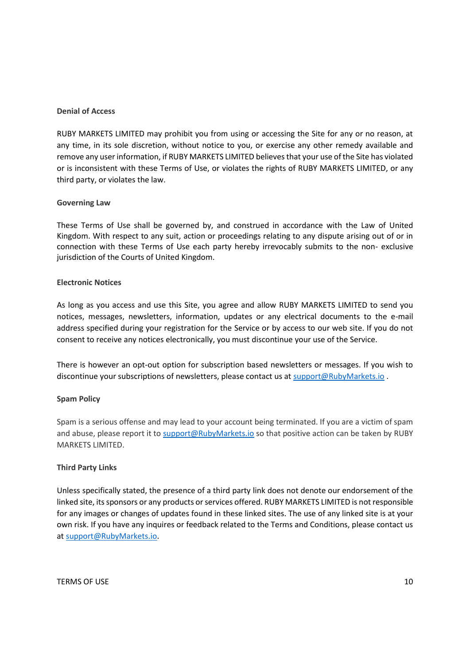## **Denial of Access**

RUBY MARKETS LIMITED may prohibit you from using or accessing the Site for any or no reason, at any time, in its sole discretion, without notice to you, or exercise any other remedy available and remove any user information, if RUBY MARKETS LIMITED believes that your use of the Site has violated or is inconsistent with these Terms of Use, or violates the rights of RUBY MARKETS LIMITED, or any third party, or violates the law.

## **Governing Law**

These Terms of Use shall be governed by, and construed in accordance with the Law of United Kingdom. With respect to any suit, action or proceedings relating to any dispute arising out of or in connection with these Terms of Use each party hereby irrevocably submits to the non- exclusive jurisdiction of the Courts of United Kingdom.

## **Electronic Notices**

As long as you access and use this Site, you agree and allow RUBY MARKETS LIMITED to send you notices, messages, newsletters, information, updates or any electrical documents to the e-mail address specified during your registration for the Service or by access to our web site. If you do not consent to receive any notices electronically, you must discontinue your use of the Service.

There is however an opt-out option for subscription based newsletters or messages. If you wish to discontinue your subscriptions of newsletters, please contact us a[t support@RubyMarkets.io](mailto:support@RubyMarkets.io).

# **Spam Policy**

Spam is a serious offense and may lead to your account being terminated. If you are a victim of spam and abuse, please report it to [support@RubyMarkets.io](mailto:support@RubyMarkets.io) so that positive action can be taken by RUBY MARKETS LIMITED.

# **Third Party Links**

Unless specifically stated, the presence of a third party link does not denote our endorsement of the linked site, its sponsors or any products or services offered. RUBY MARKETS LIMITED is not responsible for any images or changes of updates found in these linked sites. The use of any linked site is at your own risk. If you have any inquires or feedback related to the Terms and Conditions, please contact us a[t support@RubyMarkets.io.](mailto:support@RubyMarkets.com)